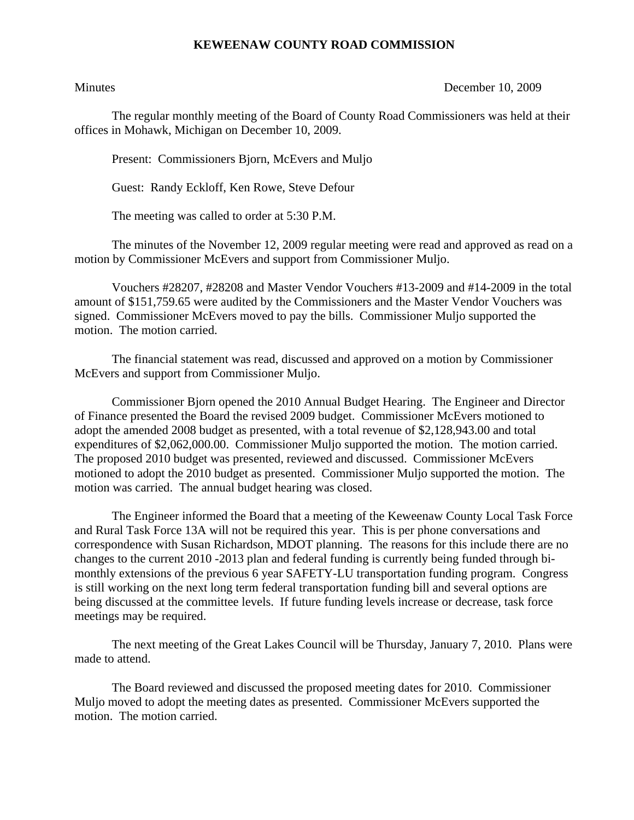## **KEWEENAW COUNTY ROAD COMMISSION**

Minutes December 10, 2009

The regular monthly meeting of the Board of County Road Commissioners was held at their offices in Mohawk, Michigan on December 10, 2009.

Present: Commissioners Bjorn, McEvers and Muljo

Guest: Randy Eckloff, Ken Rowe, Steve Defour

The meeting was called to order at 5:30 P.M.

 The minutes of the November 12, 2009 regular meeting were read and approved as read on a motion by Commissioner McEvers and support from Commissioner Muljo.

 Vouchers #28207, #28208 and Master Vendor Vouchers #13-2009 and #14-2009 in the total amount of \$151,759.65 were audited by the Commissioners and the Master Vendor Vouchers was signed. Commissioner McEvers moved to pay the bills. Commissioner Muljo supported the motion. The motion carried.

 The financial statement was read, discussed and approved on a motion by Commissioner McEvers and support from Commissioner Muljo.

 Commissioner Bjorn opened the 2010 Annual Budget Hearing. The Engineer and Director of Finance presented the Board the revised 2009 budget. Commissioner McEvers motioned to adopt the amended 2008 budget as presented, with a total revenue of \$2,128,943.00 and total expenditures of \$2,062,000.00. Commissioner Muljo supported the motion. The motion carried. The proposed 2010 budget was presented, reviewed and discussed. Commissioner McEvers motioned to adopt the 2010 budget as presented. Commissioner Muljo supported the motion. The motion was carried. The annual budget hearing was closed.

 The Engineer informed the Board that a meeting of the Keweenaw County Local Task Force and Rural Task Force 13A will not be required this year. This is per phone conversations and correspondence with Susan Richardson, MDOT planning. The reasons for this include there are no changes to the current 2010 -2013 plan and federal funding is currently being funded through bimonthly extensions of the previous 6 year SAFETY-LU transportation funding program. Congress is still working on the next long term federal transportation funding bill and several options are being discussed at the committee levels. If future funding levels increase or decrease, task force meetings may be required.

 The next meeting of the Great Lakes Council will be Thursday, January 7, 2010. Plans were made to attend.

 The Board reviewed and discussed the proposed meeting dates for 2010. Commissioner Muljo moved to adopt the meeting dates as presented. Commissioner McEvers supported the motion. The motion carried.